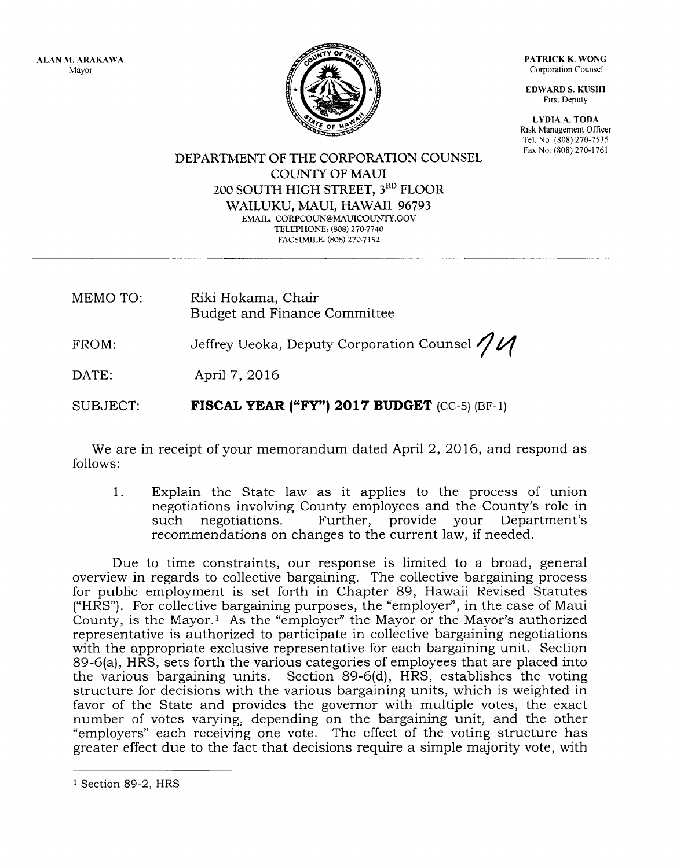ALAN M. ARAKAWA Mayor



PATRICK K. WONG Corporation Counsel

EDWARD S. KUSHI Frrst Deputy

LYDIA A. TODA Risk Management Officer Tel. No (808) 270-7535 Fax No, (808) 270-1761

DEPARTMENT OF THE CORPORATION COLINSEL COLINTY OF MAUI 200 SOUTH HIGH STREET, 3RD FLOOR WAILUKU, MAUI, HAWAII 96793 EMAIL: CORPCOUN@MAUICOUNTY.GOV TELEPHONE: (808) 270-7740 FACSIMILE: (808) 270-7152

MEMO TO: Riki Hokama, Chair Budget and Finance Committee

FROM: Jeffrey Ueoka, Deputy Corporation Counsel  $\eta$ 

DATE: April 7,2016

SUBJECT: FISCAL YEAR ("FY") 2017 BUDGET  $(CC-5)$  (BF-1)

We are in receipt of your memorandum dated April 2, 2016, and respond as follows:

1. Explain the State law as it applies to the process of union negotiations involving County employees and the County's role in<br>such negotiations. Further, provide your Department's Further, provide your Department's recommendations on changes to the current law, if needed.

Due to time constraints, our response is limited to a broad, general overview in regards to collective bargaining. The collective bargaining process for public employment is set forth in Chapter 89, Hawaii Revised Statutes ("HRS"). For collective bargaining purposes, the "employer", in the case of Maui County, is the Mayor.1 As the "employer" the Mayor or the Mayor's authorized representative is authorized to participate in collective bargaining negotiations with the appropriate exclusive representative for each bargaining unit. Section 89-6(a), HRS, sets forth the various categories of employees that are placed into the various bargaining units. Section 89-6(d), HRS, establishes the voting structure for decisions with the various bargaining units, which is weighted in favor of the State and provides the governor with multiple votes, the exact number of votes varying, depending on the bargaining unit, and the other "employers" each receiving one vote. The effect of the voting structure has greater effect due to the fact that decisions require a simple majority vote, with

i Section 89-2, HRS